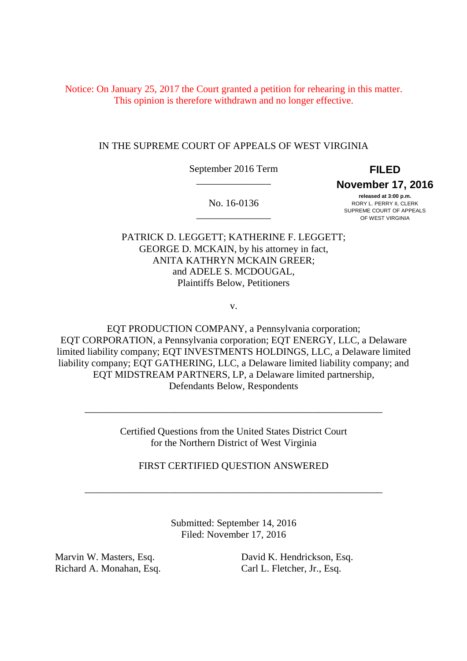Notice: On January 25, 2017 the Court granted a petition for rehearing in this matter. This opinion is therefore withdrawn and no longer effective.

# IN THE SUPREME COURT OF APPEALS OF WEST VIRGINIA

 September 2016 Term **FILED**  \_\_\_\_\_\_\_\_\_\_\_\_\_\_\_

 **November 17, 2016** 

No. 16-0136 \_\_\_\_\_\_\_\_\_\_\_\_\_\_\_

 **released at 3:00 p.m.**   $\text{No. } 16\text{-}0136$  RORY L. PERRY II, CLERK SUPREME COURT OF APPEALS OF WEST VIRGINIA

 PATRICK D. LEGGETT; KATHERINE F. LEGGETT; GEORGE D. MCKAIN, by his attorney in fact, ANITA KATHRYN MCKAIN GREER; and ADELE S. MCDOUGAL, Plaintiffs Below, Petitioners

v.

 EQT PRODUCTION COMPANY, a Pennsylvania corporation; EQT CORPORATION, a Pennsylvania corporation; EQT ENERGY, LLC, a Delaware limited liability company; EQT INVESTMENTS HOLDINGS, LLC, a Delaware limited liability company; EQT GATHERING, LLC, a Delaware limited liability company; and EQT MIDSTREAM PARTNERS, LP, a Delaware limited partnership, Defendants Below, Respondents

> Certified Questions from the United States District Court for the Northern District of West Virginia

\_\_\_\_\_\_\_\_\_\_\_\_\_\_\_\_\_\_\_\_\_\_\_\_\_\_\_\_\_\_\_\_\_\_\_\_\_\_\_\_\_\_\_\_\_\_\_\_\_\_\_\_\_\_\_\_\_\_\_\_

FIRST CERTIFIED QUESTION ANSWERED

\_\_\_\_\_\_\_\_\_\_\_\_\_\_\_\_\_\_\_\_\_\_\_\_\_\_\_\_\_\_\_\_\_\_\_\_\_\_\_\_\_\_\_\_\_\_\_\_\_\_\_\_\_\_\_\_\_\_\_\_

 Submitted: September 14, 2016 Filed: November 17, 2016

Marvin W. Masters, Esq. Richard A. Monahan, Esq. Carl L. Fletcher, Jr., Esq.

 Marvin W. Masters, Esq. David K. Hendrickson, Esq. Carl L. Fletcher, Jr., Esq.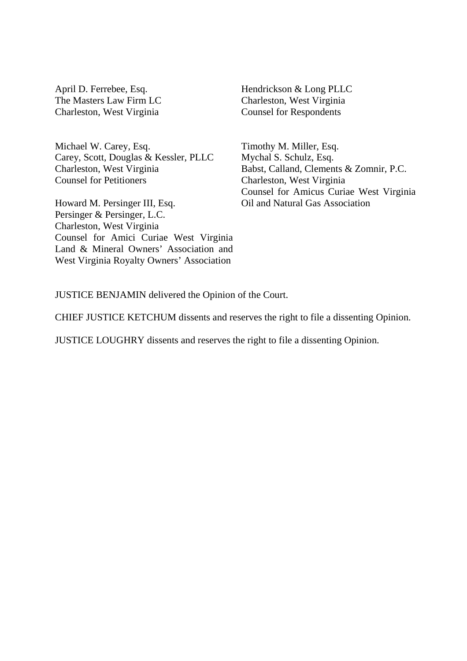April D. Ferrebee, Esq. The Masters Law Firm LC Charleston, West Virginia

 Michael W. Carey, Esq. Carey, Scott, Douglas & Kessler, PLLC Charleston, West Virginia Counsel for Petitioners

 Howard M. Persinger III, Esq. Persinger & Persinger, L.C. Charleston, West Virginia Counsel for Amici Curiae West Virginia Land & Mineral Owners' Association and West Virginia Royalty Owners' Association

 Hendrickson & Long PLLC Charleston, West Virginia Counsel for Respondents

 Timothy M. Miller, Esq. Mychal S. Schulz, Esq. Babst, Calland, Clements & Zomnir, P.C. Charleston, West Virginia Counsel for Amicus Curiae West Virginia Oil and Natural Gas Association

JUSTICE BENJAMIN delivered the Opinion of the Court.

CHIEF JUSTICE KETCHUM dissents and reserves the right to file a dissenting Opinion.

JUSTICE LOUGHRY dissents and reserves the right to file a dissenting Opinion.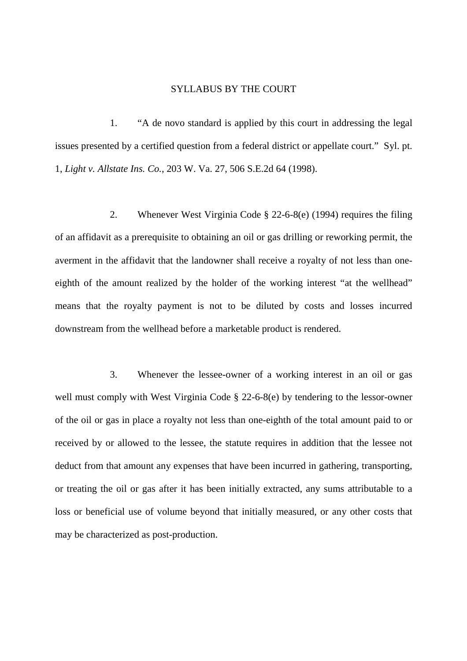## SYLLABUS BY THE COURT

1. issues presented by a certified question from a federal district or appellate court." Syl. pt.  1, *Light v. Allstate Ins. Co.*, 203 W. Va. 27, 506 S.E.2d 64 (1998). 1. "A de novo standard is applied by this court in addressing the legal

 2. Whenever West Virginia Code § 22-6-8(e) (1994) requires the filing of an affidavit as a prerequisite to obtaining an oil or gas drilling or reworking permit, the averment in the affidavit that the landowner shall receive a royalty of not less than one- eighth of the amount realized by the holder of the working interest "at the wellhead" means that the royalty payment is not to be diluted by costs and losses incurred downstream from the wellhead before a marketable product is rendered.

 3. Whenever the lessee-owner of a working interest in an oil or gas well must comply with West Virginia Code § 22-6-8(e) by tendering to the lessor-owner of the oil or gas in place a royalty not less than one-eighth of the total amount paid to or received by or allowed to the lessee, the statute requires in addition that the lessee not deduct from that amount any expenses that have been incurred in gathering, transporting, or treating the oil or gas after it has been initially extracted, any sums attributable to a loss or beneficial use of volume beyond that initially measured, or any other costs that may be characterized as post-production.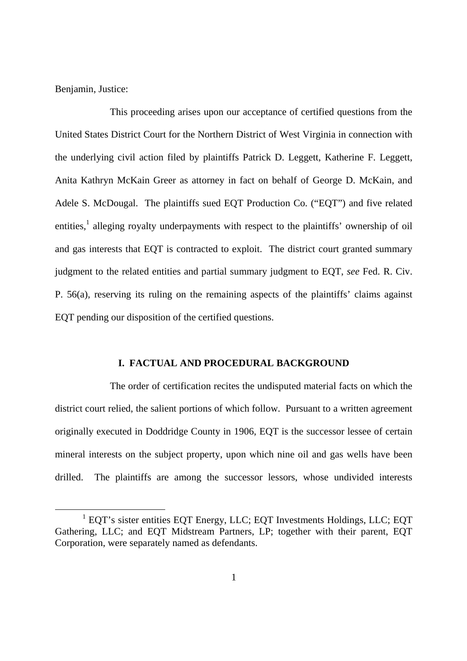Benjamin, Justice:

-

 This proceeding arises upon our acceptance of certified questions from the United States District Court for the Northern District of West Virginia in connection with the underlying civil action filed by plaintiffs Patrick D. Leggett, Katherine F. Leggett, Anita Kathryn McKain Greer as attorney in fact on behalf of George D. McKain, and Adele S. McDougal. The plaintiffs sued EQT Production Co. ("EQT") and five related entities,<sup>1</sup> alleging royalty underpayments with respect to the plaintiffs' ownership of oil and gas interests that EQT is contracted to exploit. The district court granted summary judgment to the related entities and partial summary judgment to EQT, *see* Fed. R. Civ. P. 56(a), reserving its ruling on the remaining aspects of the plaintiffs' claims against EQT pending our disposition of the certified questions.

## **I. FACTUAL AND PROCEDURAL BACKGROUND**

 The order of certification recites the undisputed material facts on which the district court relied, the salient portions of which follow. Pursuant to a written agreement originally executed in Doddridge County in 1906, EQT is the successor lessee of certain mineral interests on the subject property, upon which nine oil and gas wells have been drilled. The plaintiffs are among the successor lessors, whose undivided interests

<sup>&</sup>lt;sup>1</sup> EQT's sister entities EQT Energy, LLC; EQT Investments Holdings, LLC; EQT Gathering, LLC; and EQT Midstream Partners, LP; together with their parent, EQT Corporation, were separately named as defendants.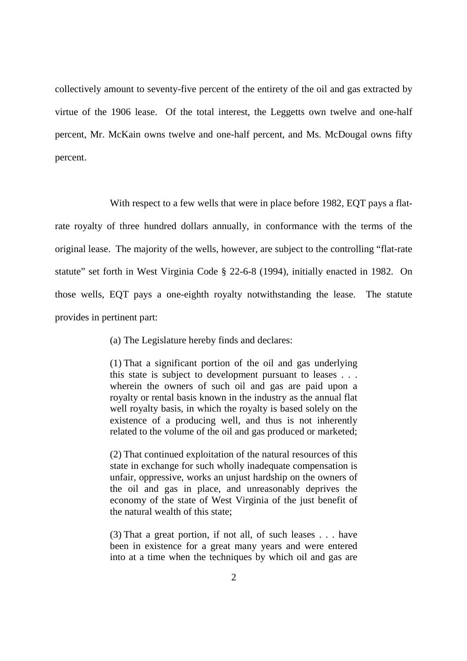collectively amount to seventy-five percent of the entirety of the oil and gas extracted by virtue of the 1906 lease. Of the total interest, the Leggetts own twelve and one-half percent, Mr. McKain owns twelve and one-half percent, and Ms. McDougal owns fifty percent.

 With respect to a few wells that were in place before 1982, EQT pays a flat- rate royalty of three hundred dollars annually, in conformance with the terms of the original lease. The majority of the wells, however, are subject to the controlling "flat-rate statute" set forth in West Virginia Code § 22-6-8 (1994), initially enacted in 1982. On those wells, EQT pays a one-eighth royalty notwithstanding the lease. The statute provides in pertinent part:

(a) The Legislature hereby finds and declares:

 (1) That a significant portion of the oil and gas underlying this state is subject to development pursuant to leases . . . wherein the owners of such oil and gas are paid upon a royalty or rental basis known in the industry as the annual flat well royalty basis, in which the royalty is based solely on the existence of a producing well, and thus is not inherently related to the volume of the oil and gas produced or marketed;

 (2) That continued exploitation of the natural resources of this state in exchange for such wholly inadequate compensation is unfair, oppressive, works an unjust hardship on the owners of the oil and gas in place, and unreasonably deprives the economy of the state of West Virginia of the just benefit of the natural wealth of this state;

 (3) That a great portion, if not all, of such leases . . . have been in existence for a great many years and were entered into at a time when the techniques by which oil and gas are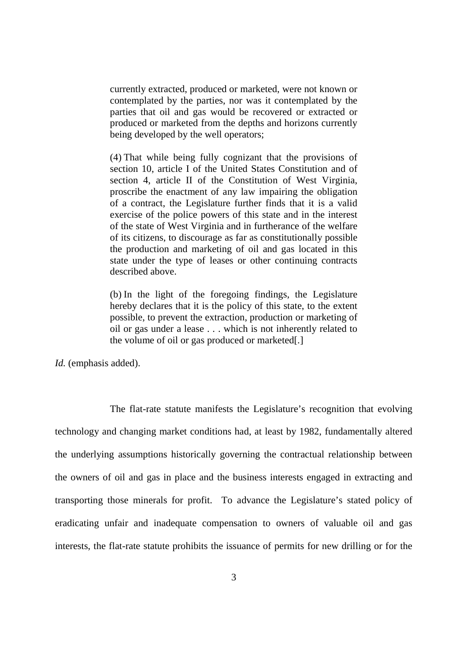currently extracted, produced or marketed, were not known or contemplated by the parties, nor was it contemplated by the parties that oil and gas would be recovered or extracted or produced or marketed from the depths and horizons currently being developed by the well operators;

 (4) That while being fully cognizant that the provisions of section 10, article I of the United States Constitution and of section 4, article II of the Constitution of West Virginia, proscribe the enactment of any law impairing the obligation of a contract, the Legislature further finds that it is a valid exercise of the police powers of this state and in the interest of its citizens, to discourage as far as constitutionally possible the production and marketing of oil and gas located in this state under the type of leases or other continuing contracts described above. of the state of West Virginia and in furtherance of the welfare

 (b) In the light of the foregoing findings, the Legislature hereby declares that it is the policy of this state, to the extent possible, to prevent the extraction, production or marketing of oil or gas under a lease . . . which is not inherently related to the volume of oil or gas produced or marketed[.]

*Id.* (emphasis added).

 The flat-rate statute manifests the Legislature's recognition that evolving technology and changing market conditions had, at least by 1982, fundamentally altered the underlying assumptions historically governing the contractual relationship between the owners of oil and gas in place and the business interests engaged in extracting and transporting those minerals for profit. To advance the Legislature's stated policy of eradicating unfair and inadequate compensation to owners of valuable oil and gas interests, the flat-rate statute prohibits the issuance of permits for new drilling or for the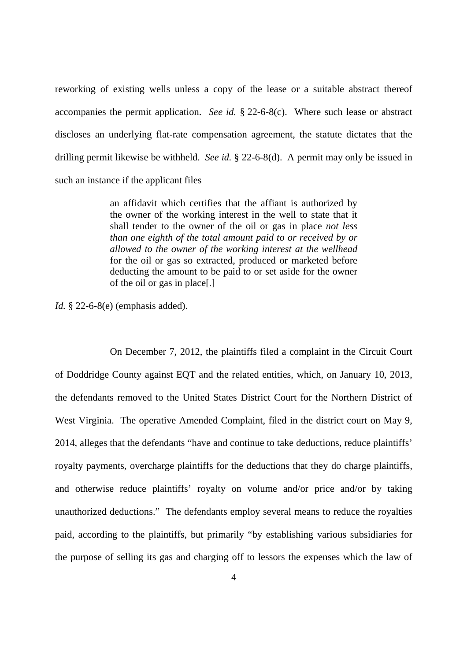reworking of existing wells unless a copy of the lease or a suitable abstract thereof accompanies the permit application. *See id.* § 22-6-8(c). Where such lease or abstract discloses an underlying flat-rate compensation agreement, the statute dictates that the drilling permit likewise be withheld. *See id.* § 22-6-8(d). A permit may only be issued in such an instance if the applicant files

> an affidavit which certifies that the affiant is authorized by the owner of the working interest in the well to state that it shall tender to the owner of the oil or gas in place *not less than one eighth of the total amount paid to or received by or allowed to the owner of the working interest at the wellhead*  for the oil or gas so extracted, produced or marketed before deducting the amount to be paid to or set aside for the owner of the oil or gas in place[.]

*Id.* § 22-6-8(e) (emphasis added).

 On December 7, 2012, the plaintiffs filed a complaint in the Circuit Court of Doddridge County against EQT and the related entities, which, on January 10, 2013, the defendants removed to the United States District Court for the Northern District of West Virginia. The operative Amended Complaint, filed in the district court on May 9, 2014, alleges that the defendants "have and continue to take deductions, reduce plaintiffs' royalty payments, overcharge plaintiffs for the deductions that they do charge plaintiffs, and otherwise reduce plaintiffs' royalty on volume and/or price and/or by taking unauthorized deductions." The defendants employ several means to reduce the royalties paid, according to the plaintiffs, but primarily "by establishing various subsidiaries for the purpose of selling its gas and charging off to lessors the expenses which the law of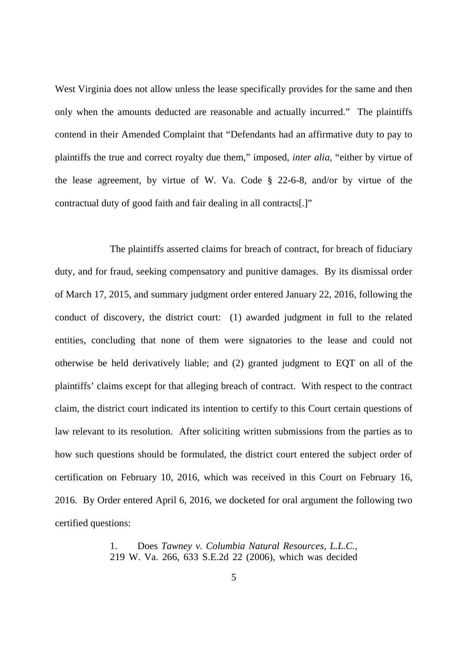West Virginia does not allow unless the lease specifically provides for the same and then only when the amounts deducted are reasonable and actually incurred." The plaintiffs contend in their Amended Complaint that "Defendants had an affirmative duty to pay to plaintiffs the true and correct royalty due them," imposed, *inter alia*, "either by virtue of the lease agreement, by virtue of W. Va. Code § 22-6-8, and/or by virtue of the contractual duty of good faith and fair dealing in all contracts[.]"

 The plaintiffs asserted claims for breach of contract, for breach of fiduciary duty, and for fraud, seeking compensatory and punitive damages. By its dismissal order of March 17, 2015, and summary judgment order entered January 22, 2016, following the conduct of discovery, the district court: (1) awarded judgment in full to the related entities, concluding that none of them were signatories to the lease and could not otherwise be held derivatively liable; and (2) granted judgment to EQT on all of the plaintiffs' claims except for that alleging breach of contract. With respect to the contract claim, the district court indicated its intention to certify to this Court certain questions of law relevant to its resolution. After soliciting written submissions from the parties as to how such questions should be formulated, the district court entered the subject order of certification on February 10, 2016, which was received in this Court on February 16, 2016. By Order entered April 6, 2016, we docketed for oral argument the following two certified questions:

> 1. 219 W. Va. 266, 633 S.E.2d 22 (2006), which was decided 1. Does *Tawney v. Columbia Natural Resources, L.L.C.*,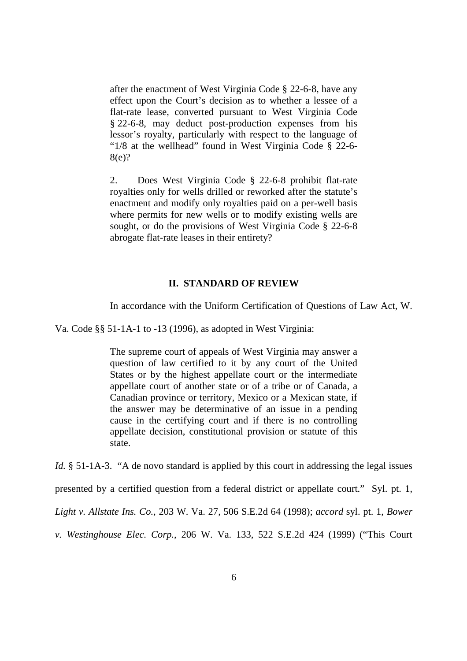after the enactment of West Virginia Code § 22-6-8, have any effect upon the Court's decision as to whether a lessee of a flat-rate lease, converted pursuant to West Virginia Code § 22-6-8, may deduct post-production expenses from his lessor's royalty, particularly with respect to the language of "1/8 at the wellhead" found in West Virginia Code § 22-6 8(e)?

 $2.$  royalties only for wells drilled or reworked after the statute's enactment and modify only royalties paid on a per-well basis where permits for new wells or to modify existing wells are sought, or do the provisions of West Virginia Code § 22-6-8 abrogate flat-rate leases in their entirety? 2. Does West Virginia Code § 22-6-8 prohibit flat-rate

## **II. STANDARD OF REVIEW**

In accordance with the Uniform Certification of Questions of Law Act, W.

Va. Code §§ 51-1A-1 to -13 (1996), as adopted in West Virginia:

 The supreme court of appeals of West Virginia may answer a question of law certified to it by any court of the United States or by the highest appellate court or the intermediate appellate court of another state or of a tribe or of Canada, a Canadian province or territory, Mexico or a Mexican state, if the answer may be determinative of an issue in a pending cause in the certifying court and if there is no controlling appellate decision, constitutional provision or statute of this state.

Id. § 51-1A-3. "A de novo standard is applied by this court in addressing the legal issues

presented by a certified question from a federal district or appellate court." Syl. pt. 1,

 *Light v. Allstate Ins. Co.*, 203 W. Va. 27, 506 S.E.2d 64 (1998); *accord* syl. pt. 1, *Bower* 

 *v. Westinghouse Elec. Corp.*, 206 W. Va. 133, 522 S.E.2d 424 (1999) ("This Court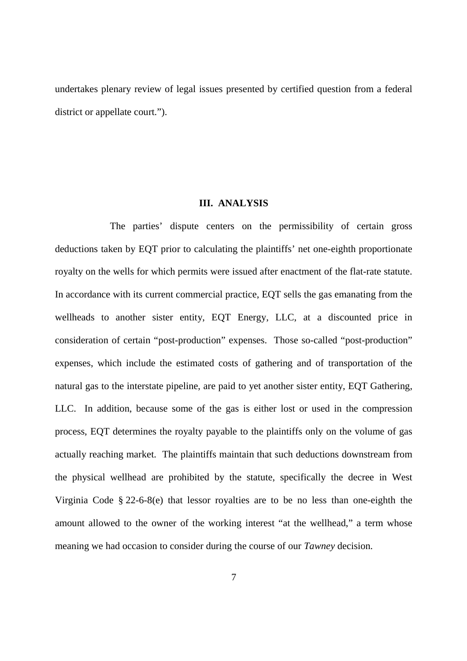undertakes plenary review of legal issues presented by certified question from a federal district or appellate court.").

## **III. ANALYSIS**

 The parties' dispute centers on the permissibility of certain gross deductions taken by EQT prior to calculating the plaintiffs' net one-eighth proportionate royalty on the wells for which permits were issued after enactment of the flat-rate statute. In accordance with its current commercial practice, EQT sells the gas emanating from the wellheads to another sister entity, EQT Energy, LLC, at a discounted price in consideration of certain "post-production" expenses. Those so-called "post-production" expenses, which include the estimated costs of gathering and of transportation of the natural gas to the interstate pipeline, are paid to yet another sister entity, EQT Gathering, LLC. In addition, because some of the gas is either lost or used in the compression process, EQT determines the royalty payable to the plaintiffs only on the volume of gas actually reaching market. The plaintiffs maintain that such deductions downstream from the physical wellhead are prohibited by the statute, specifically the decree in West Virginia Code § 22-6-8(e) that lessor royalties are to be no less than one-eighth the amount allowed to the owner of the working interest "at the wellhead," a term whose meaning we had occasion to consider during the course of our *Tawney* decision.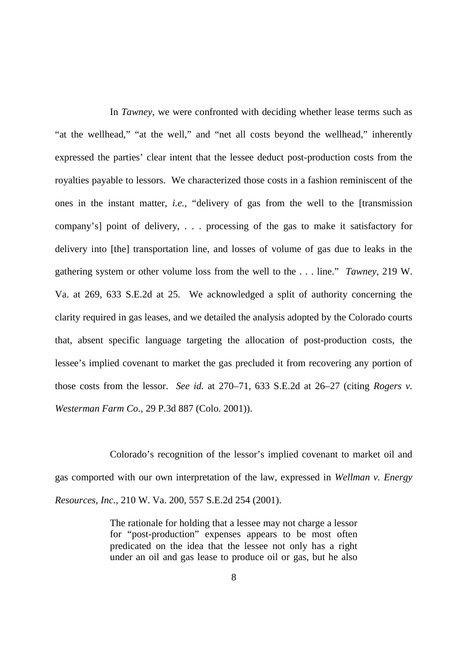In *Tawney*, we were confronted with deciding whether lease terms such as "at the wellhead," "at the well," and "net all costs beyond the wellhead," inherently expressed the parties' clear intent that the lessee deduct post-production costs from the royalties payable to lessors. We characterized those costs in a fashion reminiscent of the ones in the instant matter, *i.e.*, "delivery of gas from the well to the [transmission company's] point of delivery, . . . processing of the gas to make it satisfactory for delivery into [the] transportation line, and losses of volume of gas due to leaks in the gathering system or other volume loss from the well to the . . . line." *Tawney*, 219 W. Va. at 269, 633 S.E.2d at 25. We acknowledged a split of authority concerning the clarity required in gas leases, and we detailed the analysis adopted by the Colorado courts that, absent specific language targeting the allocation of post-production costs, the lessee's implied covenant to market the gas precluded it from recovering any portion of those costs from the lessor. *See id.* at 270–71, 633 S.E.2d at 26–27 (citing *Rogers v. Westerman Farm Co.*, 29 P.3d 887 (Colo. 2001)).

 Colorado's recognition of the lessor's implied covenant to market oil and gas comported with our own interpretation of the law, expressed in *Wellman v. Energy Resources, Inc.*, 210 W. Va. 200, 557 S.E.2d 254 (2001).

> The rationale for holding that a lessee may not charge a lessor for "post-production" expenses appears to be most often predicated on the idea that the lessee not only has a right under an oil and gas lease to produce oil or gas, but he also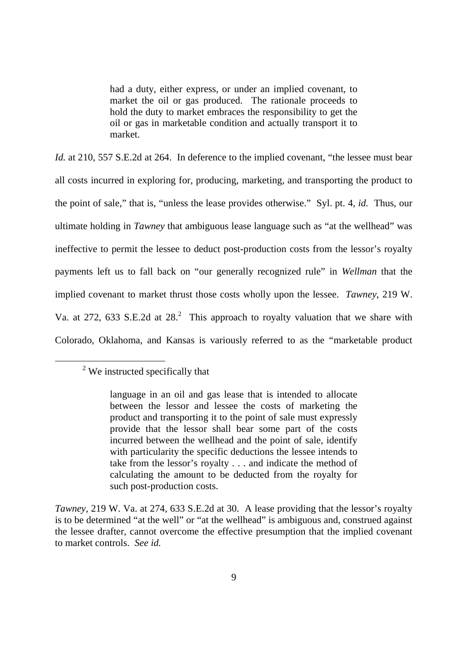had a duty, either express, or under an implied covenant, to market the oil or gas produced. The rationale proceeds to hold the duty to market embraces the responsibility to get the oil or gas in marketable condition and actually transport it to market.

Id. at 210, 557 S.E.2d at 264. In deference to the implied covenant, "the lessee must bear all costs incurred in exploring for, producing, marketing, and transporting the product to the point of sale," that is, "unless the lease provides otherwise." Syl. pt. 4, *id.* Thus, our ultimate holding in *Tawney* that ambiguous lease language such as "at the wellhead" was ineffective to permit the lessee to deduct post-production costs from the lessor's royalty payments left us to fall back on "our generally recognized rule" in *Wellman* that the implied covenant to market thrust those costs wholly upon the lessee. *Tawney*, 219 W. Va. at 272, 633 S.E.2d at  $28<sup>2</sup>$ . This approach to royalty valuation that we share with Colorado, Oklahoma, and Kansas is variously referred to as the "marketable product

-

 $2$ <sup>2</sup> We instructed specifically that

 language in an oil and gas lease that is intended to allocate between the lessor and lessee the costs of marketing the product and transporting it to the point of sale must expressly incurred between the wellhead and the point of sale, identify with particularity the specific deductions the lessee intends to take from the lessor's royalty . . . and indicate the method of calculating the amount to be deducted from the royalty for such post-production costs. provide that the lessor shall bear some part of the costs

 *Tawney*, 219 W. Va. at 274, 633 S.E.2d at 30. A lease providing that the lessor's royalty is to be determined "at the well" or "at the wellhead" is ambiguous and, construed against the lessee drafter, cannot overcome the effective presumption that the implied covenant to market controls. *See id.*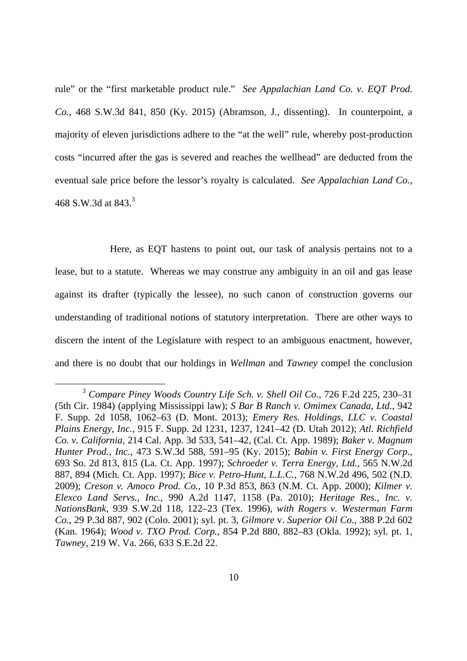rule" or the "first marketable product rule." *See Appalachian Land Co. v. EQT Prod. Co.*, 468 S.W.3d 841, 850 (Ky. 2015) (Abramson, J., dissenting). In counterpoint, a majority of eleven jurisdictions adhere to the "at the well" rule, whereby post-production costs "incurred after the gas is severed and reaches the wellhead" are deducted from the eventual sale price before the lessor's royalty is calculated. *See Appalachian Land Co.*, 468 S.W.3d at  $843.<sup>3</sup>$ 

 Here, as EQT hastens to point out, our task of analysis pertains not to a lease, but to a statute. Whereas we may construe any ambiguity in an oil and gas lease against its drafter (typically the lessee), no such canon of construction governs our understanding of traditional notions of statutory interpretation. There are other ways to discern the intent of the Legislature with respect to an ambiguous enactment, however, and there is no doubt that our holdings in *Wellman* and *Tawney* compel the conclusion

-

 <sup>3</sup>*Compare Piney Woods Country Life Sch. v. Shell Oil Co.*, 726 F.2d 225, 230–31 (5th Cir. 1984) (applying Mississippi law); *S Bar B Ranch v. Omimex Canada, Ltd.*, 942 F. Supp. 2d 1058, 1062–63 (D. Mont. 2013); *Emery Res. Holdings, LLC v. Coastal Plains Energy, Inc.*, 915 F. Supp. 2d 1231, 1237, 1241–42 (D. Utah 2012); *Atl. Richfield Co. v. California*, 214 Cal. App. 3d 533, 541–42, (Cal. Ct. App. 1989); *Baker v. Magnum Hunter Prod., Inc.*, 473 S.W.3d 588, 591–95 (Ky. 2015); *Babin v. First Energy Corp.*, 693 So. 2d 813, 815 (La. Ct. App. 1997); *Schroeder v. Terra Energy, Ltd.*, 565 N.W.2d 887, 894 (Mich. Ct. App. 1997); *Bice v. Petro-Hunt, L.L.C.*, 768 N.W.2d 496, 502 (N.D.  2009); *Creson v. Amoco Prod. Co.*, 10 P.3d 853, 863 (N.M. Ct. App. 2000); *Kilmer v. Elexco Land Servs., Inc.*, 990 A.2d 1147, 1158 (Pa. 2010); *Heritage Res., Inc. v. NationsBank*, 939 S.W.2d 118, 122–23 (Tex. 1996), *with Rogers v. Westerman Farm Co.*, 29 P.3d 887, 902 (Colo. 2001); syl. pt. 3, *Gilmore* v. *Superior Oil Co.*, 388 P.2d 602 (Kan. 1964); *Wood v. TXO Prod. Corp.*, 854 P.2d 880, 882–83 (Okla. 1992); syl. pt. 1, *Tawney*, 219 W. Va. 266, 633 S.E.2d 22.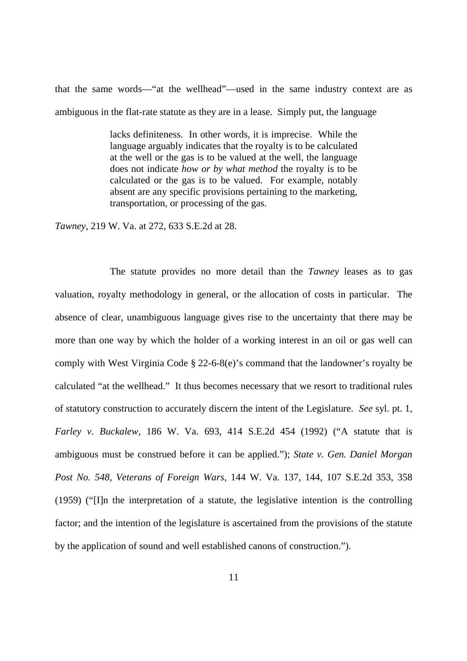that the same words—"at the wellhead"—used in the same industry context are as ambiguous in the flat-rate statute as they are in a lease. Simply put, the language

> lacks definiteness. In other words, it is imprecise. While the language arguably indicates that the royalty is to be calculated at the well or the gas is to be valued at the well, the language does not indicate *how or by what method* the royalty is to be calculated or the gas is to be valued. For example, notably absent are any specific provisions pertaining to the marketing, transportation, or processing of the gas.

*Tawney*, 219 W. Va. at 272, 633 S.E.2d at 28.

 valuation, royalty methodology in general, or the allocation of costs in particular. The absence of clear, unambiguous language gives rise to the uncertainty that there may be more than one way by which the holder of a working interest in an oil or gas well can comply with West Virginia Code § 22-6-8(e)'s command that the landowner's royalty be calculated "at the wellhead." It thus becomes necessary that we resort to traditional rules of statutory construction to accurately discern the intent of the Legislature. *See* syl. pt. 1,  *Farley v. Buckalew*, 186 W. Va. 693, 414 S.E.2d 454 (1992) ("A statute that is ambiguous must be construed before it can be applied."); *State v. Gen. Daniel Morgan Post No. 548, Veterans of Foreign Wars*, 144 W. Va. 137, 144, 107 S.E.2d 353, 358 (1959) ("[I]n the interpretation of a statute, the legislative intention is the controlling factor; and the intention of the legislature is ascertained from the provisions of the statute by the application of sound and well established canons of construction."). The statute provides no more detail than the *Tawney* leases as to gas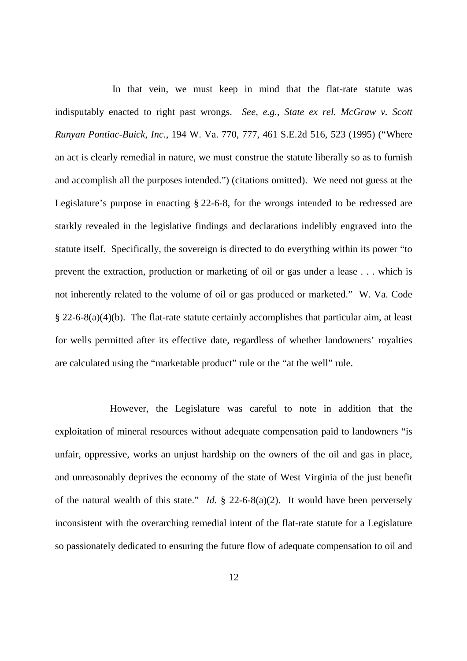In that vein, we must keep in mind that the flat-rate statute was indisputably enacted to right past wrongs. *See, e.g.*, *State ex rel. McGraw v. Scott Runyan Pontiac-Buick, Inc.*, 194 W. Va. 770, 777, 461 S.E.2d 516, 523 (1995) ("Where an act is clearly remedial in nature, we must construe the statute liberally so as to furnish and accomplish all the purposes intended.") (citations omitted). We need not guess at the Legislature's purpose in enacting § 22-6-8, for the wrongs intended to be redressed are starkly revealed in the legislative findings and declarations indelibly engraved into the statute itself. Specifically, the sovereign is directed to do everything within its power "to prevent the extraction, production or marketing of oil or gas under a lease . . . which is not inherently related to the volume of oil or gas produced or marketed." W. Va. Code  $§$  22-6-8(a)(4)(b). The flat-rate statute certainly accomplishes that particular aim, at least for wells permitted after its effective date, regardless of whether landowners' royalties are calculated using the "marketable product" rule or the "at the well" rule.

 However, the Legislature was careful to note in addition that the exploitation of mineral resources without adequate compensation paid to landowners "is unfair, oppressive, works an unjust hardship on the owners of the oil and gas in place, and unreasonably deprives the economy of the state of West Virginia of the just benefit of the natural wealth of this state." *Id.* § 22-6-8(a)(2). It would have been perversely inconsistent with the overarching remedial intent of the flat-rate statute for a Legislature so passionately dedicated to ensuring the future flow of adequate compensation to oil and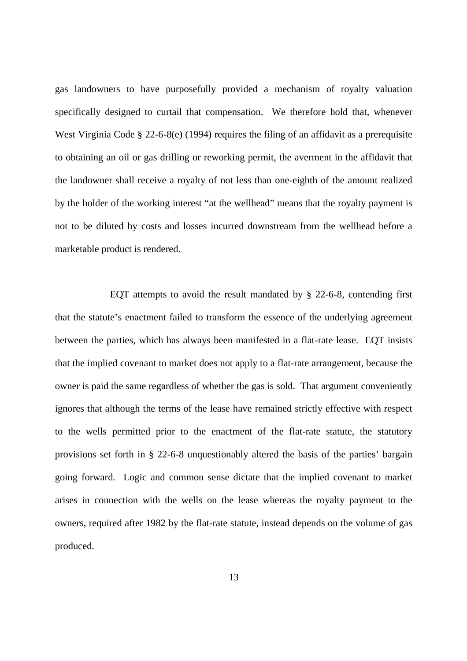gas landowners to have purposefully provided a mechanism of royalty valuation specifically designed to curtail that compensation. We therefore hold that, whenever West Virginia Code § 22-6-8(e) (1994) requires the filing of an affidavit as a prerequisite to obtaining an oil or gas drilling or reworking permit, the averment in the affidavit that the landowner shall receive a royalty of not less than one-eighth of the amount realized by the holder of the working interest "at the wellhead" means that the royalty payment is not to be diluted by costs and losses incurred downstream from the wellhead before a marketable product is rendered.

 EQT attempts to avoid the result mandated by § 22-6-8, contending first that the statute's enactment failed to transform the essence of the underlying agreement between the parties, which has always been manifested in a flat-rate lease. EQT insists that the implied covenant to market does not apply to a flat-rate arrangement, because the owner is paid the same regardless of whether the gas is sold. That argument conveniently ignores that although the terms of the lease have remained strictly effective with respect to the wells permitted prior to the enactment of the flat-rate statute, the statutory provisions set forth in § 22-6-8 unquestionably altered the basis of the parties' bargain going forward. Logic and common sense dictate that the implied covenant to market arises in connection with the wells on the lease whereas the royalty payment to the owners, required after 1982 by the flat-rate statute, instead depends on the volume of gas produced.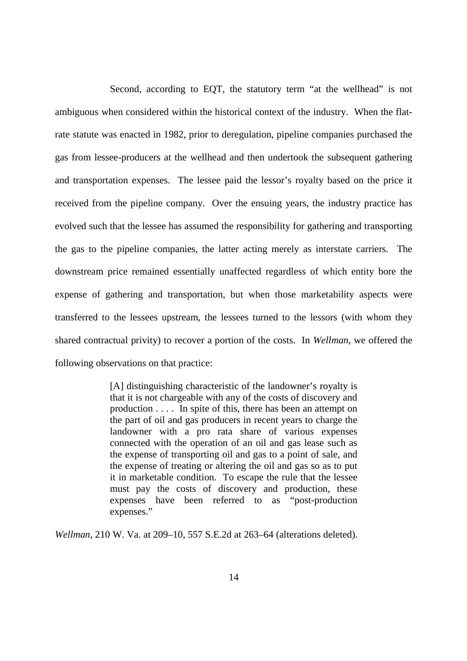Second, according to EQT, the statutory term "at the wellhead" is not ambiguous when considered within the historical context of the industry. When the flat- rate statute was enacted in 1982, prior to deregulation, pipeline companies purchased the gas from lessee-producers at the wellhead and then undertook the subsequent gathering and transportation expenses. The lessee paid the lessor's royalty based on the price it received from the pipeline company. Over the ensuing years, the industry practice has evolved such that the lessee has assumed the responsibility for gathering and transporting the gas to the pipeline companies, the latter acting merely as interstate carriers. The downstream price remained essentially unaffected regardless of which entity bore the expense of gathering and transportation, but when those marketability aspects were transferred to the lessees upstream, the lessees turned to the lessors (with whom they shared contractual privity) to recover a portion of the costs. In *Wellman*, we offered the following observations on that practice:

> [A] distinguishing characteristic of the landowner's royalty is that it is not chargeable with any of the costs of discovery and production . . . . In spite of this, there has been an attempt on the part of oil and gas producers in recent years to charge the landowner with a pro rata share of various expenses connected with the operation of an oil and gas lease such as the expense of transporting oil and gas to a point of sale, and the expense of treating or altering the oil and gas so as to put it in marketable condition. To escape the rule that the lessee must pay the costs of discovery and production, these expenses have been referred to as "post-production expenses."

*Wellman*, 210 W. Va. at 209–10, 557 S.E.2d at 263–64 (alterations deleted).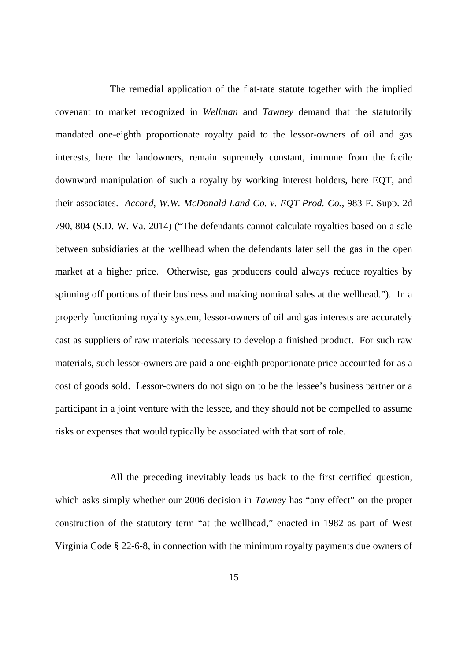The remedial application of the flat-rate statute together with the implied covenant to market recognized in *Wellman* and *Tawney* demand that the statutorily mandated one-eighth proportionate royalty paid to the lessor-owners of oil and gas interests, here the landowners, remain supremely constant, immune from the facile downward manipulation of such a royalty by working interest holders, here EQT, and their associates. *Accord, W.W. McDonald Land Co. v. EQT Prod. Co.*, 983 F. Supp. 2d 790, 804 (S.D. W. Va. 2014) ("The defendants cannot calculate royalties based on a sale between subsidiaries at the wellhead when the defendants later sell the gas in the open market at a higher price. Otherwise, gas producers could always reduce royalties by spinning off portions of their business and making nominal sales at the wellhead."). In a properly functioning royalty system, lessor-owners of oil and gas interests are accurately cast as suppliers of raw materials necessary to develop a finished product. For such raw materials, such lessor-owners are paid a one-eighth proportionate price accounted for as a cost of goods sold. Lessor-owners do not sign on to be the lessee's business partner or a participant in a joint venture with the lessee, and they should not be compelled to assume risks or expenses that would typically be associated with that sort of role.

 All the preceding inevitably leads us back to the first certified question, which asks simply whether our 2006 decision in *Tawney* has "any effect" on the proper construction of the statutory term "at the wellhead," enacted in 1982 as part of West Virginia Code § 22-6-8, in connection with the minimum royalty payments due owners of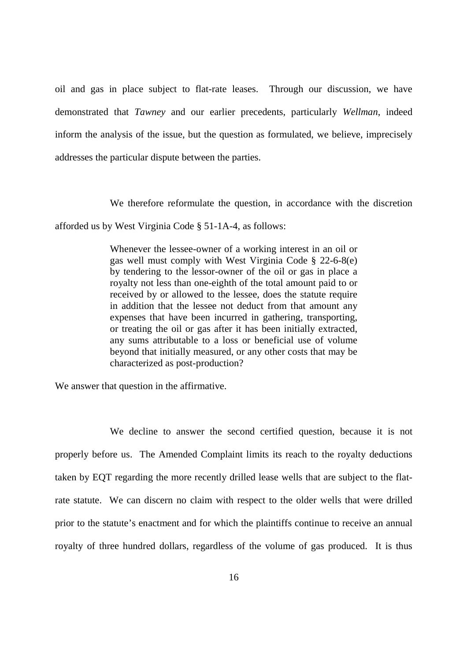oil and gas in place subject to flat-rate leases. Through our discussion, we have demonstrated that *Tawney* and our earlier precedents, particularly *Wellman*, indeed inform the analysis of the issue, but the question as formulated, we believe, imprecisely addresses the particular dispute between the parties.

We therefore reformulate the question, in accordance with the discretion

afforded us by West Virginia Code § 51-1A-4, as follows:

 Whenever the lessee-owner of a working interest in an oil or gas well must comply with West Virginia Code § 22-6-8(e) by tendering to the lessor-owner of the oil or gas in place a royalty not less than one-eighth of the total amount paid to or received by or allowed to the lessee, does the statute require in addition that the lessee not deduct from that amount any expenses that have been incurred in gathering, transporting, or treating the oil or gas after it has been initially extracted, any sums attributable to a loss or beneficial use of volume beyond that initially measured, or any other costs that may be characterized as post-production?

We answer that question in the affirmative.

 We decline to answer the second certified question, because it is not properly before us. The Amended Complaint limits its reach to the royalty deductions taken by EQT regarding the more recently drilled lease wells that are subject to the flat- rate statute. We can discern no claim with respect to the older wells that were drilled prior to the statute's enactment and for which the plaintiffs continue to receive an annual royalty of three hundred dollars, regardless of the volume of gas produced. It is thus